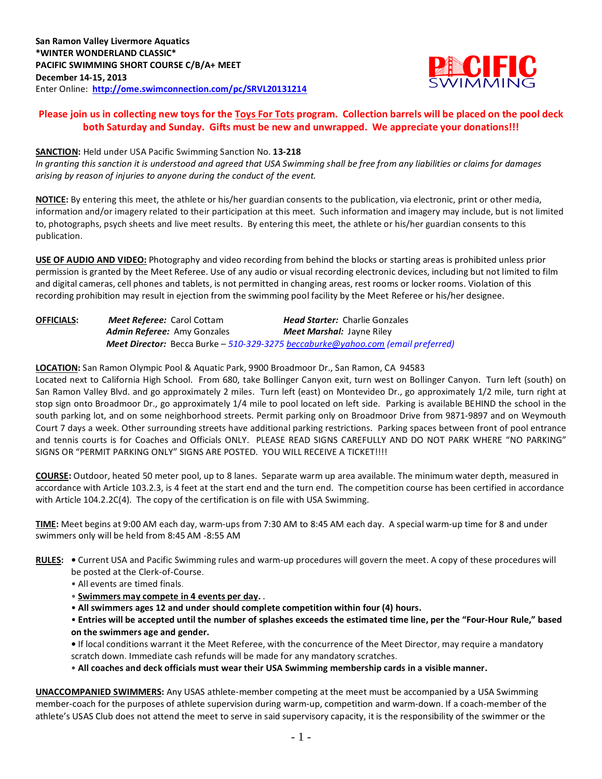

## **Please join us in collecting new toys for the Toys For Tots program. Collection barrels will be placed on the pool deck both Saturday and Sunday. Gifts must be new and unwrapped. We appreciate your donations!!!**

## **SANCTION:** Held under USA Pacific Swimming Sanction No. **13-218**

*In granting this sanction it is understood and agreed that USA Swimming shall be free from any liabilities or claims for damages arising by reason of injuries to anyone during the conduct of the event.*

**NOTICE:** By entering this meet, the athlete or his/her guardian consents to the publication, via electronic, print or other media, information and/or imagery related to their participation at this meet. Such information and imagery may include, but is not limited to, photographs, psych sheets and live meet results. By entering this meet, the athlete or his/her guardian consents to this publication.

**USE OF AUDIO AND VIDEO:** Photography and video recording from behind the blocks or starting areas is prohibited unless prior permission is granted by the Meet Referee. Use of any audio or visual recording electronic devices, including but not limited to film and digital cameras, cell phones and tablets, is not permitted in changing areas, rest rooms or locker rooms. Violation of this recording prohibition may result in ejection from the swimming pool facility by the Meet Referee or his/her designee.

## **OFFICIALS:** *Meet Referee:* Carol Cottam *Head Starter:* Charlie Gonzales *Admin Referee:* Amy Gonzales *Meet Marshal:* Jayne Riley *Meet Director:* Becca Burke *– 510-329-327[5 beccaburke@yahoo.com](mailto:beccaburke@yahoo.com) (email preferred)*

## **LOCATION:** San Ramon Olympic Pool & Aquatic Park, 9900 Broadmoor Dr., San Ramon, CA 94583

Located next to California High School. From 680, take Bollinger Canyon exit, turn west on Bollinger Canyon. Turn left (south) on San Ramon Valley Blvd. and go approximately 2 miles. Turn left (east) on Montevideo Dr., go approximately 1/2 mile, turn right at stop sign onto Broadmoor Dr., go approximately 1/4 mile to pool located on left side. Parking is available BEHIND the school in the south parking lot, and on some neighborhood streets. Permit parking only on Broadmoor Drive from 9871-9897 and on Weymouth Court 7 days a week. Other surrounding streets have additional parking restrictions. Parking spaces between front of pool entrance and tennis courts is for Coaches and Officials ONLY. PLEASE READ SIGNS CAREFULLY AND DO NOT PARK WHERE "NO PARKING" SIGNS OR "PERMIT PARKING ONLY" SIGNS ARE POSTED. YOU WILL RECEIVE A TICKET!!!!

**COURSE:** Outdoor, heated 50 meter pool, up to 8 lanes. Separate warm up area available. The minimum water depth, measured in accordance with Article 103.2.3, is 4 feet at the start end and the turn end. The competition course has been certified in accordance with Article 104.2.2C(4). The copy of the certification is on file with USA Swimming.

**TIME:** Meet begins at 9:00 AM each day, warm-ups from 7:30 AM to 8:45 AM each day. A special warm-up time for 8 and under swimmers only will be held from 8:45 AM -8:55 AM

- **RULES:** Current USA and Pacific Swimming rules and warm-up procedures will govern the meet. A copy of these procedures will be posted at the Clerk-of-Course.
	- All events are timed finals.
	- **Swimmers may compete in 4 events per day.** .
	- **All swimmers ages 12 and under should complete competition within four (4) hours.**

• **Entries will be accepted until the number of splashes exceeds the estimated time line, per the "Four-Hour Rule," based on the swimmers age and gender.** 

**•** If local conditions warrant it the Meet Referee, with the concurrence of the Meet Director, may require a mandatory scratch down. Immediate cash refunds will be made for any mandatory scratches.

• **All coaches and deck officials must wear their USA Swimming membership cards in a visible manner.**

**UNACCOMPANIED SWIMMERS:** Any USAS athlete-member competing at the meet must be accompanied by a USA Swimming member-coach for the purposes of athlete supervision during warm-up, competition and warm-down. If a coach-member of the athlete's USAS Club does not attend the meet to serve in said supervisory capacity, it is the responsibility of the swimmer or the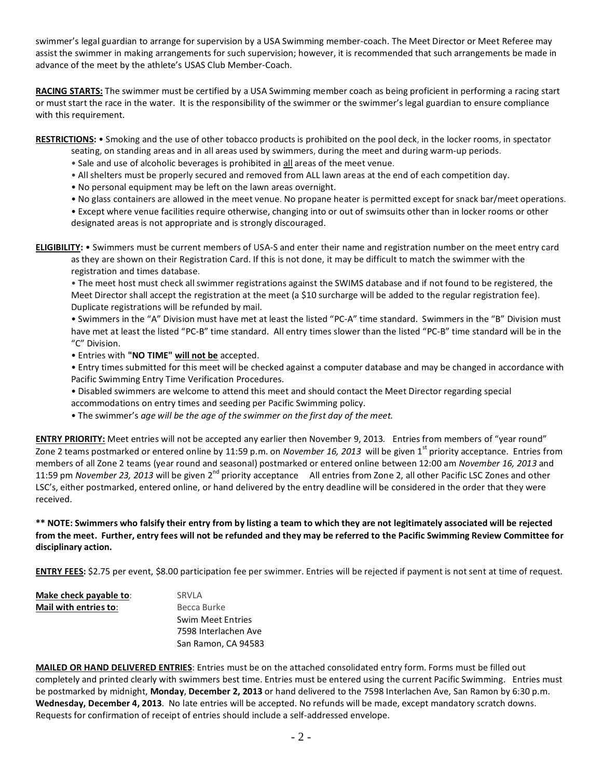swimmer's legal guardian to arrange for supervision by a USA Swimming member-coach. The Meet Director or Meet Referee may assist the swimmer in making arrangements for such supervision; however, it is recommended that such arrangements be made in advance of the meet by the athlete's USAS Club Member-Coach.

**RACING STARTS:** The swimmer must be certified by a USA Swimming member coach as being proficient in performing a racing start or must start the race in the water. It is the responsibility of the swimmer or the swimmer's legal guardian to ensure compliance with this requirement.

**RESTRICTIONS:** • Smoking and the use of other tobacco products is prohibited on the pool deck, in the locker rooms, in spectator

- seating, on standing areas and in all areas used by swimmers, during the meet and during warm-up periods.
- Sale and use of alcoholic beverages is prohibited in all areas of the meet venue.
- All shelters must be properly secured and removed from ALL lawn areas at the end of each competition day.
- No personal equipment may be left on the lawn areas overnight.
- No glass containers are allowed in the meet venue. No propane heater is permitted except for snack bar/meet operations.
- Except where venue facilities require otherwise, changing into or out of swimsuits other than in locker rooms or other designated areas is not appropriate and is strongly discouraged.
- **ELIGIBILITY:** Swimmers must be current members of USA-S and enter their name and registration number on the meet entry card as they are shown on their Registration Card. If this is not done, it may be difficult to match the swimmer with the registration and times database.

• The meet host must check all swimmer registrations against the SWIMS database and if not found to be registered, the Meet Director shall accept the registration at the meet (a \$10 surcharge will be added to the regular registration fee). Duplicate registrations will be refunded by mail.

• Swimmers in the "A" Division must have met at least the listed "PC-A" time standard. Swimmers in the "B" Division must have met at least the listed "PC-B" time standard. All entry times slower than the listed "PC-B" time standard will be in the "C" Division.

• Entries with **"NO TIME" will not be** accepted.

• Entry times submitted for this meet will be checked against a computer database and may be changed in accordance with Pacific Swimming Entry Time Verification Procedures.

- Disabled swimmers are welcome to attend this meet and should contact the Meet Director regarding special
- accommodations on entry times and seeding per Pacific Swimming policy.
- The swimmer's *age will be the age of the swimmer on the first day of the meet.*

**ENTRY PRIORITY:** Meet entries will not be accepted any earlier then November 9, 2013*.* Entries from members of "year round" Zone 2 teams postmarked or entered online by 11:59 p.m. on *November 16, 2013* will be given 1<sup>st</sup> priority acceptance. Entries from members of all Zone 2 teams (year round and seasonal) postmarked or entered online between 12:00 am *November 16, 2013* and 11:59 pm *November 23, 2013* will be given 2<sup>nd</sup> priority acceptance All entries from Zone 2, all other Pacific LSC Zones and other LSC's, either postmarked, entered online, or hand delivered by the entry deadline will be considered in the order that they were received.

**\*\* NOTE: Swimmers who falsify their entry from by listing a team to which they are not legitimately associated will be rejected from the meet. Further, entry fees will not be refunded and they may be referred to the Pacific Swimming Review Committee for disciplinary action.**

**ENTRY FEES:** \$2.75 per event, \$8.00 participation fee per swimmer. Entries will be rejected if payment is not sent at time of request.

| Make check payable to: | SRVLA                    |
|------------------------|--------------------------|
| Mail with entries to:  | Becca Burke              |
|                        | <b>Swim Meet Entries</b> |
|                        | 7598 Interlachen Ave     |
|                        | San Ramon, CA 94583      |

**MAILED OR HAND DELIVERED ENTRIES**: Entries must be on the attached consolidated entry form. Forms must be filled out completely and printed clearly with swimmers best time. Entries must be entered using the current Pacific Swimming. Entries must be postmarked by midnight, **Monday**, **December 2, 2013** or hand delivered to the 7598 Interlachen Ave, San Ramon by 6:30 p.m. **Wednesday, December 4, 2013**. No late entries will be accepted. No refunds will be made, except mandatory scratch downs. Requests for confirmation of receipt of entries should include a self-addressed envelope.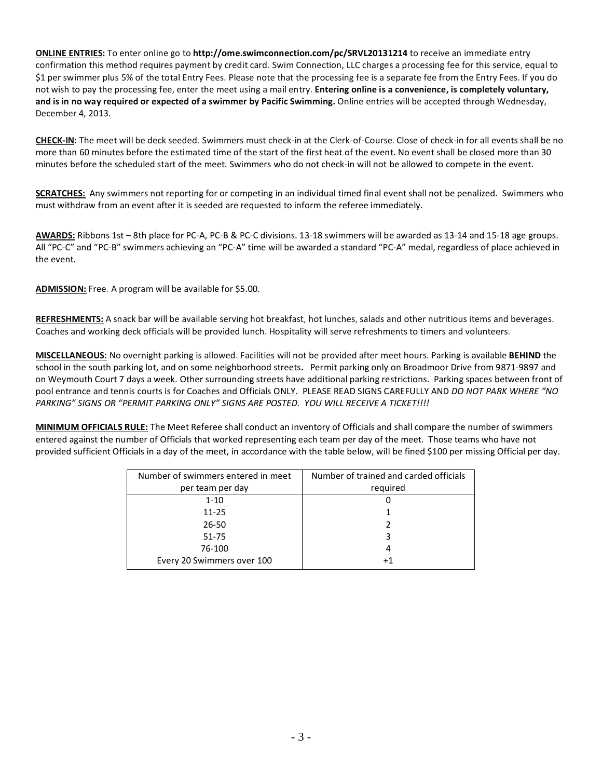**ONLINE ENTRIES:** To enter online go to **http://ome.swimconnection.com/pc/SRVL20131214** to receive an immediate entry confirmation this method requires payment by credit card. Swim Connection, LLC charges a processing fee for this service, equal to \$1 per swimmer plus 5% of the total Entry Fees. Please note that the processing fee is a separate fee from the Entry Fees. If you do not wish to pay the processing fee, enter the meet using a mail entry. **Entering online is a convenience, is completely voluntary, and is in no way required or expected of a swimmer by Pacific Swimming.** Online entries will be accepted through Wednesday, December 4, 2013.

**CHECK-IN:** The meet will be deck seeded. Swimmers must check-in at the Clerk-of-Course. Close of check-in for all events shall be no more than 60 minutes before the estimated time of the start of the first heat of the event. No event shall be closed more than 30 minutes before the scheduled start of the meet. Swimmers who do not check-in will not be allowed to compete in the event.

**SCRATCHES:** Any swimmers not reporting for or competing in an individual timed final event shall not be penalized. Swimmers who must withdraw from an event after it is seeded are requested to inform the referee immediately.

**AWARDS:** Ribbons 1st – 8th place for PC-A, PC-B & PC-C divisions. 13-18 swimmers will be awarded as 13-14 and 15-18 age groups. All "PC-C" and "PC-B" swimmers achieving an "PC-A" time will be awarded a standard "PC-A" medal, regardless of place achieved in the event.

**ADMISSION:** Free. A program will be available for \$5.00.

**REFRESHMENTS:** A snack bar will be available serving hot breakfast, hot lunches, salads and other nutritious items and beverages. Coaches and working deck officials will be provided lunch. Hospitality will serve refreshments to timers and volunteers.

**MISCELLANEOUS:** No overnight parking is allowed. Facilities will not be provided after meet hours. Parking is available **BEHIND** the school in the south parking lot, and on some neighborhood streets**.** Permit parking only on Broadmoor Drive from 9871-9897 and on Weymouth Court 7 days a week. Other surrounding streets have additional parking restrictions. Parking spaces between front of pool entrance and tennis courts is for Coaches and Officials ONLY. PLEASE READ SIGNS CAREFULLY AND *DO NOT PARK WHERE "NO PARKING" SIGNS OR "PERMIT PARKING ONLY" SIGNS ARE POSTED. YOU WILL RECEIVE A TICKET!!!!*

**MINIMUM OFFICIALS RULE:** The Meet Referee shall conduct an inventory of Officials and shall compare the number of swimmers entered against the number of Officials that worked representing each team per day of the meet. Those teams who have not provided sufficient Officials in a day of the meet, in accordance with the table below, will be fined \$100 per missing Official per day.

| Number of swimmers entered in meet | Number of trained and carded officials |
|------------------------------------|----------------------------------------|
| per team per day                   | required                               |
| $1 - 10$                           | O                                      |
| $11 - 25$                          |                                        |
| $26 - 50$                          |                                        |
| 51-75                              | 3                                      |
| 76-100                             | 4                                      |
| Every 20 Swimmers over 100         | +1                                     |
|                                    |                                        |